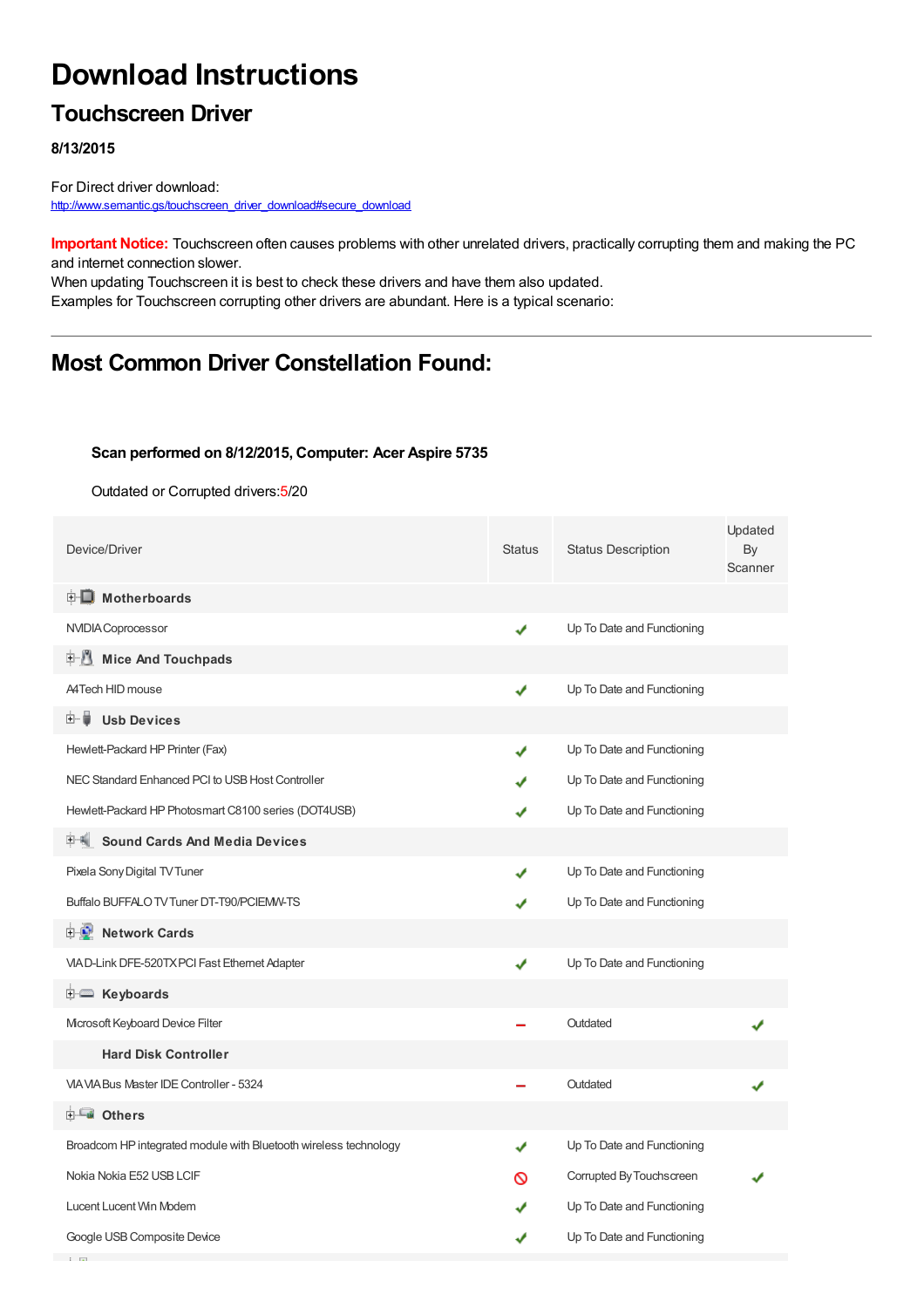# **Download Instructions**

## **Touchscreen Driver**

### **8/13/2015**

**Contract Contract** 

For Direct driver download: [http://www.semantic.gs/touchscreen\\_driver\\_download#secure\\_download](http://www.semantic.gs/touchscreen_driver_download#secure_download)

**Important Notice:** Touchscreen often causes problems with other unrelated drivers, practically corrupting them and making the PC and internet connection slower.

When updating Touchscreen it is best to check these drivers and have them also updated. Examples for Touchscreen corrupting other drivers are abundant. Here is a typical scenario:

## **Most Common Driver Constellation Found:**

#### **Scan performed on 8/12/2015, Computer: Acer Aspire 5735**

Outdated or Corrupted drivers:5/20

| Device/Driver                                                    | <b>Status</b> | <b>Status Description</b>  | Updated<br>By<br>Scanner |
|------------------------------------------------------------------|---------------|----------------------------|--------------------------|
| <b>E</b> Motherboards                                            |               |                            |                          |
| NVIDIA Coprocessor                                               | ✔             | Up To Date and Functioning |                          |
| 田川<br><b>Mice And Touchpads</b>                                  |               |                            |                          |
| A4Tech HID mouse                                                 | ✔             | Up To Date and Functioning |                          |
| <b>Usb Devices</b><br>田… (                                       |               |                            |                          |
| Hewlett-Packard HP Printer (Fax)                                 | ✔             | Up To Date and Functioning |                          |
| NEC Standard Enhanced PCI to USB Host Controller                 |               | Up To Date and Functioning |                          |
| Hewlett-Packard HP Photosmart C8100 series (DOT4USB)             | ✔             | Up To Date and Functioning |                          |
| <b>Sound Cards And Media Devices</b><br>田"馬                      |               |                            |                          |
| Pixela Sony Digital TV Tuner                                     | ✔             | Up To Date and Functioning |                          |
| Buffalo BUFFALO TV Tuner DT-T90/PCIEMW-TS                        | ✔             | Up To Date and Functioning |                          |
| <b>Network Cards</b><br><b>E-9</b>                               |               |                            |                          |
| VIA D-Link DFE-520TX PCI Fast Ethernet Adapter                   | ✔             | Up To Date and Functioning |                          |
| E Keyboards                                                      |               |                            |                          |
| Mcrosoft Keyboard Device Filter                                  |               | Outdated                   |                          |
| <b>Hard Disk Controller</b>                                      |               |                            |                          |
| VIA VIA Bus Master IDE Controller - 5324                         |               | Outdated                   |                          |
| <b>E</b> Others                                                  |               |                            |                          |
| Broadcom HP integrated module with Bluetooth wireless technology | ✔             | Up To Date and Functioning |                          |
| Nokia Nokia E52 USB LCIF                                         | ര             | Corrupted By Touchscreen   |                          |
| Lucent Lucent Win Modem                                          |               | Up To Date and Functioning |                          |
| Google USB Composite Device                                      | ✔             | Up To Date and Functioning |                          |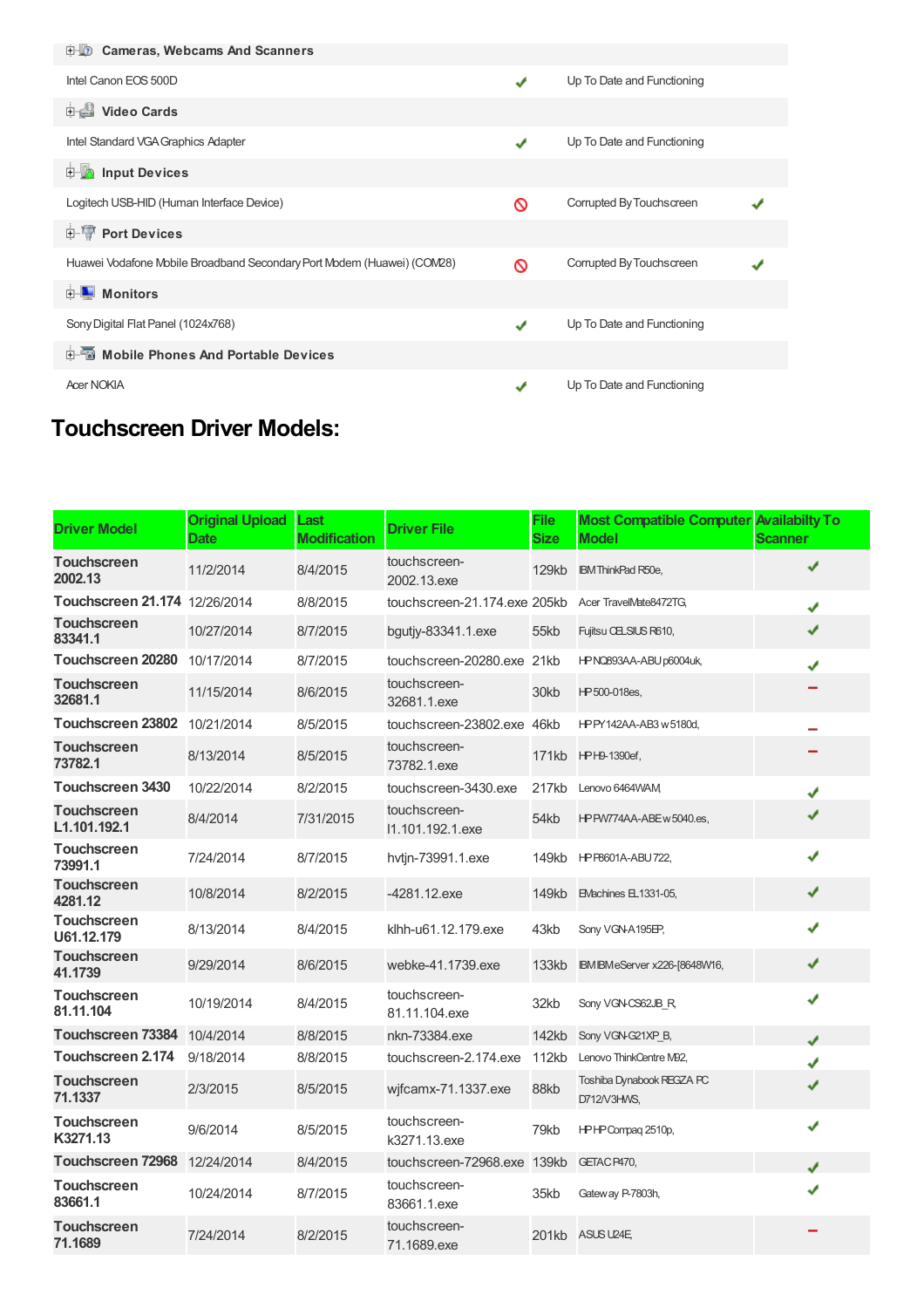| 电缆 Cameras, Webcams And Scanners                                       |               |                            |  |
|------------------------------------------------------------------------|---------------|----------------------------|--|
| Intel Canon EOS 500D                                                   | $\mathcal{L}$ | Up To Date and Functioning |  |
| <b>Dideo Cards</b>                                                     |               |                            |  |
| Intel Standard VGA Graphics Adapter                                    | ✔             | Up To Date and Functioning |  |
| <b>Devices</b> Input Devices                                           |               |                            |  |
| Logitech USB-HID (Human Interface Device)                              | ∾             | Corrupted By Touchscreen   |  |
| <b>E-</b> Port Devices                                                 |               |                            |  |
| Huawei Vodafone Mobile Broadband Secondary Port Modem (Huawei) (COM28) | ര             | Corrupted By Touchscreen   |  |
| <b>E</b> Monitors                                                      |               |                            |  |
| Sony Digital Flat Panel (1024x768)                                     | ✔             | Up To Date and Functioning |  |
| 中国 Mobile Phones And Portable Devices                                  |               |                            |  |
| <b>Acer NOKIA</b>                                                      | $\mathbf{v}$  | Up To Date and Functioning |  |

# **Touchscreen Driver Models:**

| <b>Driver Model</b>                | <b>Original Upload</b><br><b>Date</b> | Last<br><b>Modification</b> | <b>Driver File</b>               | <b>File</b><br><b>Size</b> | <b>Most Compatible Computer Availabilty To</b><br><b>Model</b> | <b>Scanner</b> |
|------------------------------------|---------------------------------------|-----------------------------|----------------------------------|----------------------------|----------------------------------------------------------------|----------------|
| <b>Touchscreen</b><br>2002.13      | 11/2/2014                             | 8/4/2015                    | touchscreen-<br>2002.13.exe      | 129kb                      | <b>IBM ThinkPad R50e,</b>                                      | ✔              |
| Touchscreen 21.174 12/26/2014      |                                       | 8/8/2015                    | touchscreen-21.174.exe 205kb     |                            | Acer TravelMate8472TG,                                         | ✔              |
| <b>Touchscreen</b><br>83341.1      | 10/27/2014                            | 8/7/2015                    | bgutjy-83341.1.exe               | 55kb                       | Fujitsu CELSIUS R610,                                          | ✔              |
| Touchscreen 20280                  | 10/17/2014                            | 8/7/2015                    | touchscreen-20280.exe            | 21kb                       | HPNQ893AA-ABU p6004uk,                                         | J              |
| <b>Touchscreen</b><br>32681.1      | 11/15/2014                            | 8/6/2015                    | touchscreen-<br>32681.1.exe      | 30kb                       | HP500-018es,                                                   |                |
| Touchscreen 23802 10/21/2014       |                                       | 8/5/2015                    | touchscreen-23802.exe            | 46kb                       | HPPY142AA-AB3 w 5180d.                                         |                |
| <b>Touchscreen</b><br>73782.1      | 8/13/2014                             | 8/5/2015                    | touchscreen-<br>73782.1.exe      | 171kb                      | HPH9-1390ef,                                                   |                |
| <b>Touchscreen 3430</b>            | 10/22/2014                            | 8/2/2015                    | touchscreen-3430.exe             | 217kb                      | Lenovo 6464WAM                                                 | $\checkmark$   |
| <b>Touchscreen</b><br>L1.101.192.1 | 8/4/2014                              | 7/31/2015                   | touchscreen-<br>11.101.192.1.exe | 54kb                       | HPPW774AA-ABE w 5040.es,                                       | ✔              |
| <b>Touchscreen</b><br>73991.1      | 7/24/2014                             | 8/7/2015                    | hvtin-73991.1.exe                | 149kb                      | HPP8601A-ABU722,                                               | ✔              |
| <b>Touchscreen</b><br>4281.12      | 10/8/2014                             | 8/2/2015                    | -4281.12.exe                     | 149kb                      | <b>EVachines EL1331-05,</b>                                    | ✔              |
| <b>Touchscreen</b><br>U61.12.179   | 8/13/2014                             | 8/4/2015                    | klhh-u61.12.179.exe              | 43kb                       | Sony VGN-A195EP,                                               | ✔              |
| <b>Touchscreen</b><br>41.1739      | 9/29/2014                             | 8/6/2015                    | webke-41.1739.exe                | 133kb                      | IBM IBM eServer x226-[8648W16,                                 | ✔              |
| <b>Touchscreen</b><br>81.11.104    | 10/19/2014                            | 8/4/2015                    | touchscreen-<br>81.11.104.exe    | 32kb                       | Sony VGN-CS62JB R                                              | ✔              |
| Touchscreen 73384 10/4/2014        |                                       | 8/8/2015                    | nkn-73384.exe                    | 142kb                      | Sony VGN-G21XP B,                                              | J              |
| Touchscreen 2.174                  | 9/18/2014                             | 8/8/2015                    | touchscreen-2.174.exe            | 112kb                      | Lenovo ThinkCentre M92,                                        | J              |
| <b>Touchscreen</b><br>71.1337      | 2/3/2015                              | 8/5/2015                    | wifcamx-71.1337.exe              | 88kb                       | Toshiba Dynabook REGZA PC<br>D712/V3HWS,                       | ✔              |
| <b>Touchscreen</b><br>K3271.13     | 9/6/2014                              | 8/5/2015                    | touchscreen-<br>k3271.13.exe     | 79kb                       | HPHP Compag 2510p,                                             | ✔              |
| Touchscreen 72968                  | 12/24/2014                            | 8/4/2015                    | touchscreen-72968.exe            | 139kb                      | GETAC P470,                                                    | J              |
| <b>Touchscreen</b><br>83661.1      | 10/24/2014                            | 8/7/2015                    | touchscreen-<br>83661.1.exe      | 35kb                       | Gateway P-7803h,                                               | J              |
| <b>Touchscreen</b><br>71.1689      | 7/24/2014                             | 8/2/2015                    | touchscreen-<br>71.1689.exe      |                            | 201kb ASUS U24E                                                |                |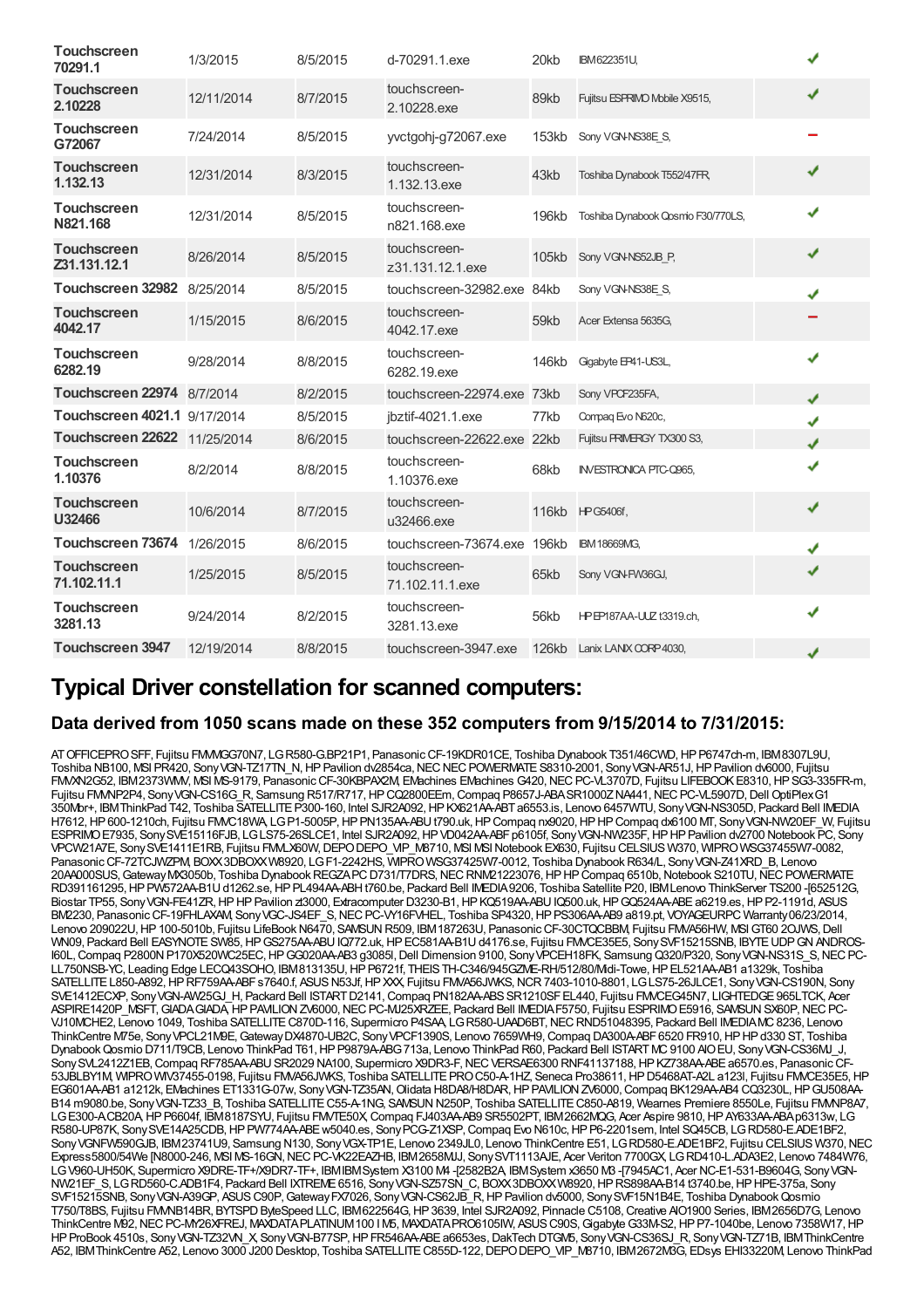| <b>Touchscreen</b><br>70291.1      | 1/3/2015   | 8/5/2015 | d-70291.1.exe                    | 20kb  | <b>IBM622351U,</b>                |   |  |
|------------------------------------|------------|----------|----------------------------------|-------|-----------------------------------|---|--|
| <b>Touchscreen</b><br>2.10228      | 12/11/2014 | 8/7/2015 | touchscreen-<br>2.10228.exe      | 89kb  | Fujitsu ESPRIMO Mobile X9515,     | J |  |
| <b>Touchscreen</b><br>G72067       | 7/24/2014  | 8/5/2015 | yvctgohj-g72067.exe              | 153kb | Sony VGN-NS38E S,                 |   |  |
| <b>Touchscreen</b><br>1.132.13     | 12/31/2014 | 8/3/2015 | touchscreen-<br>1.132.13.exe     | 43kb  | Toshiba Dynabook T552/47FR        | ✔ |  |
| <b>Touchscreen</b><br>N821.168     | 12/31/2014 | 8/5/2015 | touchscreen-<br>n821.168.exe     | 196kb | Toshiba Dynabook Qosmo F30/770LS, | ✔ |  |
| <b>Touchscreen</b><br>Z31.131.12.1 | 8/26/2014  | 8/5/2015 | touchscreen-<br>z31.131.12.1.exe | 105kb | Sony VGN-NS52JB P.                | ✔ |  |
| Touchscreen 32982 8/25/2014        |            | 8/5/2015 | touchscreen-32982.exe 84kb       |       | Sony VGN-NS38E S,                 | ✔ |  |
| <b>Touchscreen</b><br>4042.17      | 1/15/2015  | 8/6/2015 | touchscreen-<br>4042.17.exe      | 59kb  | Acer Extensa 5635G.               |   |  |
| <b>Touchscreen</b><br>6282.19      | 9/28/2014  | 8/8/2015 | touchscreen-<br>6282.19.exe      | 146kb | Gigabyte EP41-US3L,               | ✔ |  |
| Touchscreen 22974 8/7/2014         |            | 8/2/2015 | touchscreen-22974.exe            | 73kb  | Sony VPOF235FA,                   | J |  |
| Touchscreen 4021.1 9/17/2014       |            | 8/5/2015 | jbztif-4021.1.exe                | 77kb  | Compaq Evo N620c,                 | J |  |
| Touchscreen 22622 11/25/2014       |            | 8/6/2015 | touchscreen-22622.exe            | 22kb  | Fujitsu PRIMERGY TX300 S3,        | ✔ |  |
| <b>Touchscreen</b><br>1.10376      | 8/2/2014   | 8/8/2015 | touchscreen-<br>1.10376.exe      | 68kb  | <b>INVESTRONICA PTC-Q965.</b>     | J |  |
| <b>Touchscreen</b><br>U32466       | 10/6/2014  | 8/7/2015 | touchscreen-<br>u32466.exe       |       | 116kb HPG5406f,                   | ✔ |  |
| Touchscreen 73674                  | 1/26/2015  | 8/6/2015 | touchscreen-73674.exe            | 196kb | <b>IBM 18669MG,</b>               | ✔ |  |
| <b>Touchscreen</b><br>71.102.11.1  | 1/25/2015  | 8/5/2015 | touchscreen-<br>71.102.11.1.exe  | 65kb  | Sony VGN-FW36GJ,                  | ✔ |  |
| <b>Touchscreen</b><br>3281.13      | 9/24/2014  | 8/2/2015 | touchscreen-<br>3281.13.exe      | 56kb  | HPEP187AA-UUZ t3319.ch.           | ✔ |  |
| <b>Touchscreen 3947</b>            | 12/19/2014 | 8/8/2015 | touchscreen-3947.exe             |       | 126kb Lanix LANIX CORP 4030,      | J |  |

### **Typical Driver constellation for scanned computers:**

### **Data derived from 1050 scans made on these 352 computers from 9/15/2014 to 7/31/2015:**

ATOFFICEPROSFF, Fujitsu FMVMGG70N7, LGR580-G.BP21P1, PanasonicCF-19KDR01CE, Toshiba Dynabook T351/46CWD,HPP6747ch-m, IBM8307L9U, Toshiba NB100, MSI PR420, Sony VGN-TZ17TN\_N, HP Pavilion dv2854ca, NEC NEC POWERMATE S8310-2001, Sony VGN-AR51J, HP Pavilion dv6000, Fujitsu FMVXN2G52, IBM2373WMV, MSI MS-9179, PanasonicCF-30KBPAX2M, EMachines EMachines G420,NECPC-VL3707D, Fujitsu LIFEBOOKE8310,HPSG3-335FR-m, Fujitsu FMMP2P4, Sony VGN-CS16G\_R, Samsung R517/R717, HP CQ2800EEm, Compaq P8657J-ABASR1000ZNA441, NEC PC-VL5907D, Dell OptiPlex G1 350Mbr+, IBMThinkPad T42, Toshiba SATELLITEP300-160, Intel SJR2A092,HPKX621AA-ABTa6553.is, Lenovo 6457WTU, SonyVGN-NS305D, Packard Bell IMEDIA H7612, HP 600-1210ch, Fujitsu FMVC18WA, LG P1-5005P, HP PN135AA-ABU t790.uk, HP Compaq nx9020, HP HP Compaq dx6100 MT, Sony VGN-NW20EF\_W, Fujitsu ESPRIMO E7935, Sony SVE15116FJB, LGLS75-26SLCE1, Intel SJR2A092, HP VD042AA-ABF p6105f, Sony VGN-NW235F, HP HP Pavilion dv2700 Notebook PC, Sony VPCW21A7E, Sony SVE1411E1RB, Fujitsu FMLX60W, DEPO DEPO\_VIP\_M8710, MSI MSI Notebook EX630, Fujitsu CELSIUS W370, WIPRO WSG37455W7-0082, Panasonic CF-72TCJWZPM, BOXX3DBOXXW8920, LGF1-2242HS, WIPROWSG37425W7-0012, Toshiba Dynabook R634/L, Sony VGN-Z41XRD\_B, Lenovo 20AA000SUS, Gateway MX3050b, Toshiba Dynabook REGZAPC D731/T7DRS, NEC RNM21223076, HP HP Compaq 6510b, Notebook S210TU, NEC POWERMATE RD391161295, HP PW572AA-B1U d1262.se, HP PL494AA-ABH t760.be, Packard Bell IMEDIA9206, Toshiba Satellite P20, IBM Lenovo ThinkServer TS200-[652512G, Biostar TP55, Sony VGN-FE41ZR, HP HP Pavilion zt3000, Extracomputer D3230-B1, HP KQ519AA-ABU IQ500.uk, HP GQ524AA-ABE a6219.es, HP P2-1191d, ASUS BM2230, Panasonic CF-19FHLAXAM, Sony VGC-JS4EF\_S, NEC PC-VY16FVHEL, Toshiba SP4320, HP PS306AA-AB9 a819.pt, VOYAGEURPC Warranty 06/23/2014, Lenovo 209022U, HP 100-5010b, Fujitsu LifeBook N6470, SAMSUN R509, IBM 187263U, Panasonic CF-30CTQCBBM, Fujitsu FMVA56HW, MSI GT60 2OJWS, Dell WN09, Packard Bell EASYNOTE SW85, HPGS275AA-ABU IQ772.uk, HPEC581AA-B1U d4176.se, Fujitsu FMVCE35E5, SonySVF15215SNB, IBYTE UDPGNANDROS-I60L, Compaq P2800N P170X520WC25EC, HP GG020AA-AB3 g3085l, Dell Dimension 9100, Sony VPCEH18FK, Samsung Q320/P320, Sony VGN-NS31S\_S, NEC PC-LL750NSB-YC, Leading Edge LECQ43SOHO, IBM813135U,HPP6721f, THEISTH-C346/945GZME-RH/512/80/Midi-Towe,HPEL521AA-AB1 a1329k, Toshiba SATELLITE L850-A892, HP RF759AA-ABFs7640.f, ASUS N53Jf, HP XXX, Fujitsu FMVA56JWKS, NCR 7403-1010-8801, LG LS75-26JLCE1, Sony VGN-CS190N, Sony SVE1412ECXP, Sony VGN-AW25GJ\_H, Packard Bell ISTART D2141, Compaq PN182AA-ABS SR1210SF EL440, Fujitsu FMVCEG45N7, LIGHTEDGE 965LTCK, Acer ASPIRE1420P\_MSFT,GIADAGIADA,HPPAVILIONZV6000,NECPC-MJ25XRZEE, Packard Bell IMEDIAF5750, Fujitsu ESPRIMOE5916, SAMSUNSX60P,NECPC-VJ10MCHE2, Lenovo 1049, Toshiba SATELLITEC870D-116, Supermicro P4SAA, LGR580-UAAD6BT,NECRND51048395, Packard Bell IMEDIAMC8236, Lenovo ThinkCentre M75e, Sony VPCL21M9E, Gateway DX4870-UB2C, Sony VPCF1390S, Lenovo 7659WH9, Compaq DA300A-ABF 6520 FR910, HP HP d330 ST, Toshiba DynabookQosmio D711/T9CB, Lenovo ThinkPad T61,HPP9879A-ABG713a, Lenovo ThinkPad R60, Packard Bell ISTARTMC9100 AIOEU, SonyVGN-CS36MJ\_J, Sony SVL2412Z1EB, Compaq RF785AA-ABU SR2029 NA100, Supermicro X9DR3-F, NEC VERSAE6300 RNF41137188, HP KZ738AA-ABE a6570.es, Panasonic CF-53JBLBY1M, WIPROWIV37455-0198, Fujitsu FMVA56JWKS, Toshiba SATELLITE PRO C50-A-1HZ, Seneca Pro38611, HP D5468AT-A2L a123l, Fujitsu FMVCE35E5, HP EG601AA-AB1 a1212k, EMachines ET1331G-07w, Sony VGN-TZ35AN, Olidata H8DA8/H8DAR, HP PAVILION ZV6000, Compaq BK129AA-AB4 CQ3230L, HP GU508AA B14 m9080.be, Sony VGN-TZ33\_B, Toshiba SATELLITE C55-A-1NG, SAMSUN N250P, Toshiba SATELLITE C850-A819, Wearnes Premiere 8550Le, Fujitsu FMMP8A7, LG E300-ACB20A HP P6604f, IBM8187SYU, Fujitsu FMVTE50X, Compaq FJ403AA-AB9 SR5502PT, IBM2662MQG, Acer Aspire 9810, HP AY633AA-ABA p6313w, LG R580-UP87K, SonySVE14A25CDB,HPPW774AA-ABEw5040.es, SonyPCG-Z1XSP,Compaq Evo N610c,HPP6-2201sem, Intel SQ45CB, LGRD580-E.ADE1BF2, SonyVGNFW590GJB, IBM23741U9, Samsung N130, SonyVGX-TP1E, Lenovo 2349JL0, Lenovo ThinkCentre E51, LGRD580-E.ADE1BF2, Fujitsu CELSIUS W370,NEC Express5800/54We [N8000-246, MSI MS-16GN,NECPC-VK22EAZHB, IBM2658MJJ, SonySVT1113AJE, Acer Veriton 7700GX, LGRD410-L.ADA3E2, Lenovo 7484W76, LGV960-UH50K, Supermicro X9DRE-TF+/X9DR7-TF+, IBMIBMSystem X3100 M4 -[2582B2A, IBMSystem x3650 M3 -[7945AC1, Acer NC-E1-531-B9604G, SonyVGN-NW21EF\_S, LGRD560-C.ADB1F4, Packard Bell IXTREME6516, SonyVGN-SZ57SN\_C, BOXX3DBOXXW8920,HPRS898AA-B14 t3740.be,HPHPE-375a, Sony SVF15215SNB, Sony VGN-A39GP, ASUS C90P, Gateway FX7026, Sony VGN-CS62JB\_R, HP Pavilion dv5000, Sony SVF15N1B4E, Toshiba Dynabook Qosmio T750/T8BS, Fujitsu FMMB14BR, BYTSPD ByteSpeed LLC, IBM622564G, HP 3639, Intel SJR2A092, Pinnacle C5108, Creative AIO1900 Series, IBM2656D7G, Lenovo ThinkCentre M92, NEC PC-MY26XFREJ, MAXDATA PLATINUM 100 I M5, MAXDATA PRO6105IW, ASUS C90S, Gigabyte G33M-S2, HP P7-1040be, Lenovo 7358W17, HP HP ProBook 4510s, Sony VGN-TZ32VN\_X, Sony VGN-B77SP, HP FR546AA-ABE a6653es, DakTech DTGM5, Sony VGN-CS36SJ\_R, Sony VGN-TZ71B, IBM ThinkCentre A52, IBMThinkCentre A52, Lenovo 3000 J200 Desktop, Toshiba SATELLITEC855D-122,DEPODEPO\_VIP\_M8710, IBM2672M3G, EDsys EHI33220M, Lenovo ThinkPad